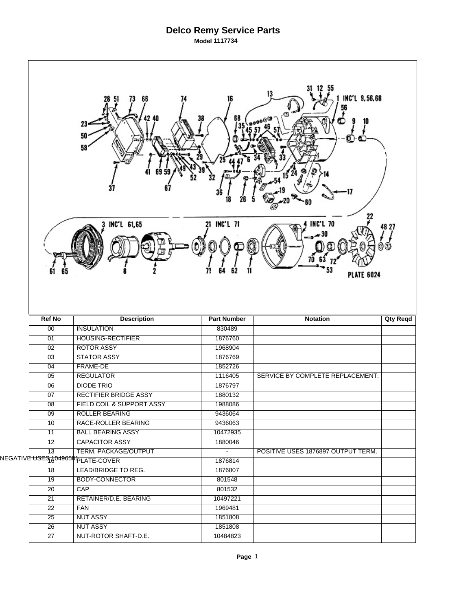## **Delco Remy Service Parts Model 1117734**

| 13<br>INC'L 9,56,68<br>66<br>68<br>23<br>50<br>58 |                                                           |                           |                                      |                 |  |  |  |  |
|---------------------------------------------------|-----------------------------------------------------------|---------------------------|--------------------------------------|-----------------|--|--|--|--|
| 61                                                | INC'L 61,65                                               | 21 INC'L 71               | <b>INC'L 70</b><br><b>PLATE 6024</b> | 48 27<br>۲      |  |  |  |  |
|                                                   |                                                           |                           |                                      |                 |  |  |  |  |
| <b>Ref No</b>                                     | <b>Description</b>                                        | <b>Part Number</b>        | <b>Notation</b>                      | <b>Qty Reqd</b> |  |  |  |  |
| 00                                                | <b>INSULATION</b>                                         | 830489                    |                                      |                 |  |  |  |  |
| 01                                                | <b>HOUSING-RECTIFIER</b>                                  | 1876760                   |                                      |                 |  |  |  |  |
| $\overline{02}$                                   | <b>ROTOR ASSY</b>                                         | 1968904                   |                                      |                 |  |  |  |  |
| $\overline{03}$                                   | <b>STATOR ASSY</b>                                        | 1876769                   |                                      |                 |  |  |  |  |
| 04                                                | <b>FRAME-DE</b>                                           | 1852726                   |                                      |                 |  |  |  |  |
| $\overline{05}$                                   | <b>REGULATOR</b>                                          | 1116405                   | SERVICE BY COMPLETE REPLACEMENT.     |                 |  |  |  |  |
| 06                                                | <b>DIODE TRIO</b>                                         | 1876797                   |                                      |                 |  |  |  |  |
| 07                                                | <b>RECTIFIER BRIDGE ASSY</b>                              | 1880132                   |                                      |                 |  |  |  |  |
| $\overline{08}$                                   | FIELD COIL & SUPPORT ASSY                                 | 1988086                   |                                      |                 |  |  |  |  |
| 09                                                | <b>ROLLER BEARING</b>                                     | 9436064                   |                                      |                 |  |  |  |  |
| 10                                                | RACE-ROLLER BEARING                                       | 9436063                   |                                      |                 |  |  |  |  |
| 11                                                | <b>BALL BEARING ASSY</b>                                  | 10472935                  |                                      |                 |  |  |  |  |
| 12                                                | <b>CAPACITOR ASSY</b>                                     | 1880046<br>$\blacksquare$ |                                      |                 |  |  |  |  |
| $\overline{13}$                                   | TERM. PACKAGE/OUTPUT                                      |                           | POSITIVE USES 1876897 OUTPUT TERM.   |                 |  |  |  |  |
|                                                   | NEGATIV <del>⊫ USES ¿04965\$ Þ<sub>LATE-</sub>COVER</del> | 1876814                   |                                      |                 |  |  |  |  |
| 18                                                | LEAD/BRIDGE TO REG.                                       | 1876807                   |                                      |                 |  |  |  |  |
| $\overline{19}$                                   | <b>BODY-CONNECTOR</b>                                     | 801548                    |                                      |                 |  |  |  |  |
| $\overline{20}$                                   | CAP                                                       | 801532                    |                                      |                 |  |  |  |  |
| 21                                                | RETAINER/D.E. BEARING                                     | 10497221                  |                                      |                 |  |  |  |  |
| $\overline{22}$<br>25                             | <b>FAN</b>                                                | 1969481<br>1851808        |                                      |                 |  |  |  |  |
| 26                                                | <b>NUT ASSY</b><br><b>NUT ASSY</b>                        | 1851808                   |                                      |                 |  |  |  |  |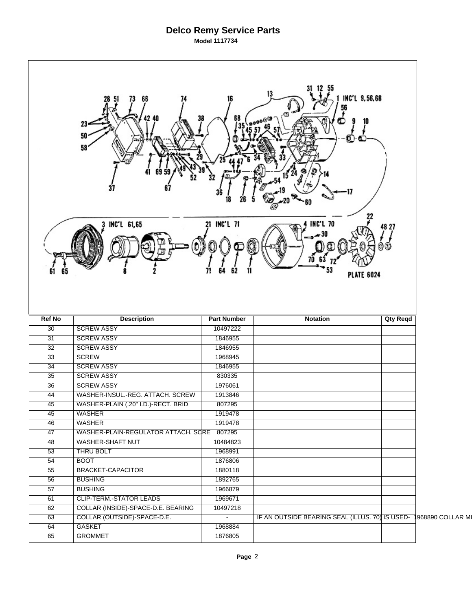## **Delco Remy Service Parts Model 1117734**

| 13<br>INC'L 9,56,68<br>66<br>56<br>68<br>σ.<br>23<br>50<br>U.<br>58<br>22<br>21 INC'L 71<br><b>INC'L 70</b><br>INC'L 61,65<br>48 27<br><b>PLATE 6024</b> |                                     |                    |                                                 |                 |                   |  |  |  |
|----------------------------------------------------------------------------------------------------------------------------------------------------------|-------------------------------------|--------------------|-------------------------------------------------|-----------------|-------------------|--|--|--|
| <b>Ref No</b>                                                                                                                                            | <b>Description</b>                  | <b>Part Number</b> | <b>Notation</b>                                 | <b>Qty Reqd</b> |                   |  |  |  |
| $\overline{30}$                                                                                                                                          | <b>SCREW ASSY</b>                   | 10497222           |                                                 |                 |                   |  |  |  |
| 31                                                                                                                                                       | <b>SCREW ASSY</b>                   | 1846955            |                                                 |                 |                   |  |  |  |
| $\overline{32}$                                                                                                                                          | <b>SCREW ASSY</b>                   | 1846955            |                                                 |                 |                   |  |  |  |
| $\overline{33}$                                                                                                                                          | <b>SCREW</b>                        | 1968945            |                                                 |                 |                   |  |  |  |
| 34                                                                                                                                                       | <b>SCREW ASSY</b>                   | 1846955            |                                                 |                 |                   |  |  |  |
| 35                                                                                                                                                       | <b>SCREW ASSY</b>                   | 830335             |                                                 |                 |                   |  |  |  |
| $\overline{36}$                                                                                                                                          | <b>SCREW ASSY</b>                   | 1976061            |                                                 |                 |                   |  |  |  |
| 44                                                                                                                                                       | WASHER-INSUL.-REG. ATTACH. SCREW    | 1913846            |                                                 |                 |                   |  |  |  |
| 45                                                                                                                                                       | WASHER-PLAIN (.20" I.D.)-RECT. BRID | 807295             |                                                 |                 |                   |  |  |  |
| $\overline{45}$                                                                                                                                          | <b>WASHER</b>                       | 1919478            |                                                 |                 |                   |  |  |  |
| 46                                                                                                                                                       | <b>WASHER</b>                       | 1919478            |                                                 |                 |                   |  |  |  |
| $\overline{47}$                                                                                                                                          | WASHER-PLAIN-REGULATOR ATTACH. SCRE | 807295             |                                                 |                 |                   |  |  |  |
| 48                                                                                                                                                       | <b>WASHER-SHAFT NUT</b>             | 10484823           |                                                 |                 |                   |  |  |  |
| 53                                                                                                                                                       | THRU BOLT                           | 1968991            |                                                 |                 |                   |  |  |  |
| $\overline{54}$                                                                                                                                          | <b>BOOT</b>                         | 1876806            |                                                 |                 |                   |  |  |  |
| 55                                                                                                                                                       | <b>BRACKET-CAPACITOR</b>            | 1880118            |                                                 |                 |                   |  |  |  |
| $\overline{56}$                                                                                                                                          | <b>BUSHING</b>                      | 1892765            |                                                 |                 |                   |  |  |  |
| $\overline{57}$                                                                                                                                          | <b>BUSHING</b>                      | 1966879            |                                                 |                 |                   |  |  |  |
| 61                                                                                                                                                       | <b>CLIP-TERM.-STATOR LEADS</b>      | 1969671            |                                                 |                 |                   |  |  |  |
| 62                                                                                                                                                       |                                     |                    |                                                 |                 |                   |  |  |  |
|                                                                                                                                                          | COLLAR (INSIDE)-SPACE-D.E. BEARING  | 10497218           |                                                 |                 |                   |  |  |  |
| 63                                                                                                                                                       | COLLAR (OUTSIDE)-SPACE-D.E.         | $\blacksquare$     | IF AN OUTSIDE BEARING SEAL (ILLUS. 70) IS USED- |                 | 1968890 COLLAR MI |  |  |  |
| 64<br>65                                                                                                                                                 | GASKET<br><b>GROMMET</b>            | 1968884<br>1876805 |                                                 |                 |                   |  |  |  |